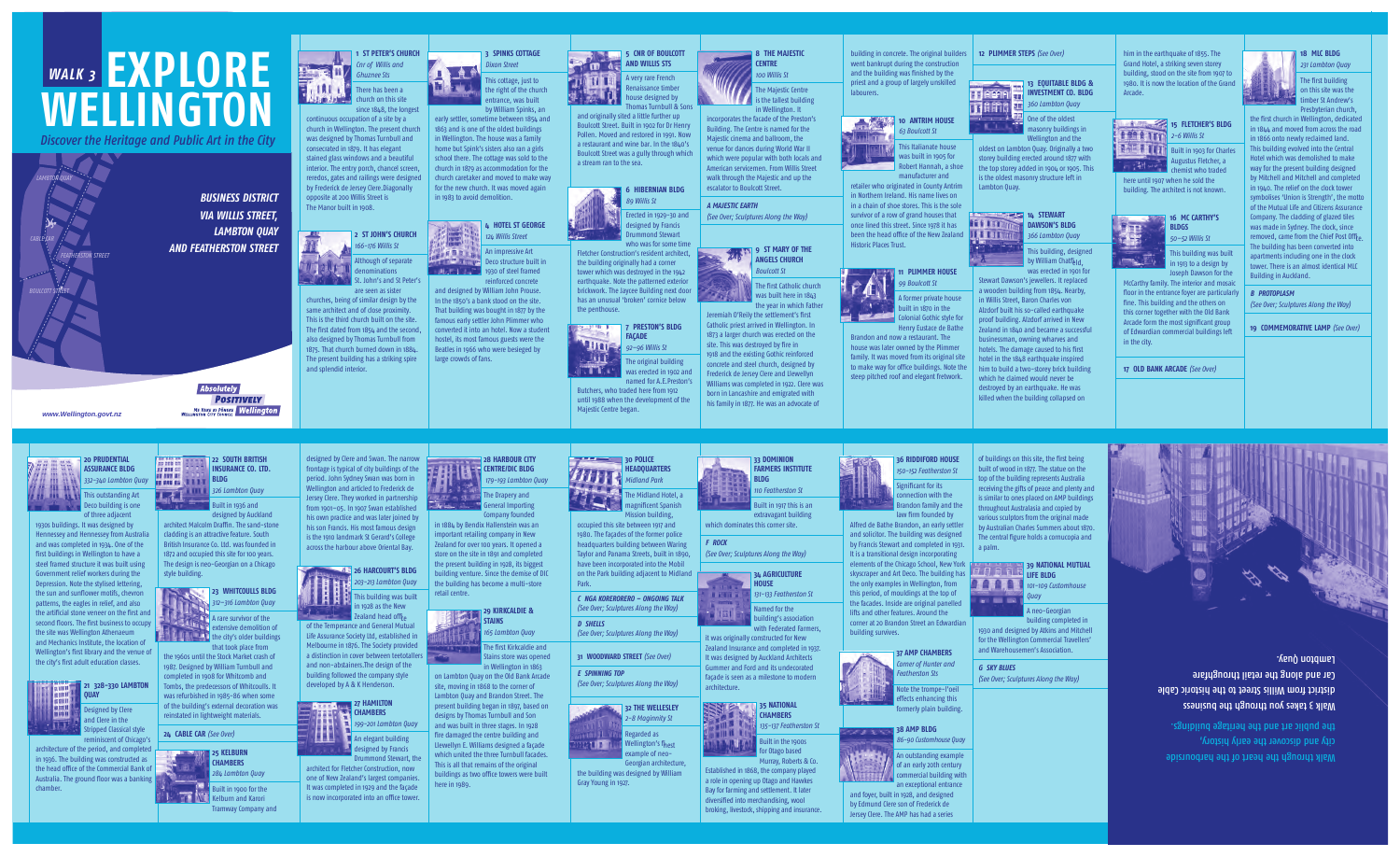

continuous occupation of a site by a church in Wellington. The present church was designed by Thomas Turnbull and consecrated in 1879. It has elegant stained glass windows and a beautiful interior. The entry porch, chancel screen, reredos, gates and railings were designed by Frederick de Jersey Clere.Diagonally opposite at 200 Willis Street is The Manor built in 1908.

Although of separate **Talun** denominations St. John's and St Peter's are seen as sister

### **2 ST JOHN'S CHURCH**  *166-176 Willis St*

This cottage, just to the right of the church entrance, was built

"情节重要服务" An impressive Art Deco structure built in **1930 of steel framed** 1930 of steel framed reinforced concrete

churches, being of similar design by the same architect and of close proximity. This is the third church built on the site. The first dated from 1854 and the second, also designed by Thomas Turnbull from 1875. That church burned down in 1884. The present building has a striking spire and splendid interior.

## **3 SPINKS COTTAGE**  *Dixon Street*

by William Spinks, an early settler, sometime between 1854 and 1863 and is one of the oldest buildings in Wellington. The house was a family home but Spink's sisters also ran a girls school there. The cottage was sold to the church in 1879 as accommodation for the church caretaker and moved to make way for the new church. It was moved again in 1983 to avoid demolition.



and designed by William John Prouse. In the 1850's a bank stood on the site. That building was bought in 1877 by the famous early settler John Plimmer who converted it into an hotel. Now a student hostel, its most famous guests were the Beatles in 1966 who were besieged by large crowds of fans.

Jeremiah O'Reily the settlement's first Catholic priest arrived in Wellington. In 1873 a larger church was erected on the site. This was destroyed by fire in 1918 and the existing Gothic reinforced concrete and steel church, designed by Frederick de Jersey Clere and Llewellyn Williams was completed in 1922. Clere was



and originally sited a little further up Boulcott Street. Built in 1902 for Dr Henry Pollen. Moved and restored in 1991. Now a restaurant and wine bar. In the 1840's Boulcott Street was a gully through which a stream ran to the sea.

### **11 PLIMMER HOUSE** *99 Boulcott St*



who was for some time Fletcher Construction's resident architect, the building originally had a corner tower which was destroyed in the 1942 earthquake. Note the patterned exterior brickwork. The Jaycee Building next door has an unusual 'broken' cornice below the penthouse.

oldest on Lambton Quay. Originally a two storey building erected around 1877 with the top storey added in 1904 or 1905. This is the oldest masonry structure left in Lambton Quay.

## **14 STEWART DAWSON'S BLDG**

by William Chatf<sub>bld</sub> was erected in 1901 for



named for A.E.Preston's Butchers, who traded here from 1912 until 1988 when the development of the Majestic Centre began.

**8 THE MAJESTIC CENTRE** *100 Willis St* The Majestic Centre  $\blacksquare$  is the tallest building in Wellington. It

### **15 FLETCHER'S BLDG** *2-6 Willis St*

Built in 1903 for Charles Augustus Fletcher, a chemist who traded

incorporates the facade of the Preston's Building. The Centre is named for the Majestic cinema and ballroom, the venue for dances during World War II



American servicemen. From Willis Street walk through the Majestic and up the escalator to Boulcott Street.

*A MAJESTIC EARTH* 

*(See Over; Sculptures Along the Way)* 

The first building on this site was the timber St Andrew's Presbyterian church,

**9 ST MARY OF THE ANGELS CHURCH** *Boulcott St* 

The first Catholic church was built here in 1843 the year in which Father went bankrupt during the construction and the building was finished by the priest and a group of largely unskilled



### **10 ANTRIM HOUSE**  *63 Boulcott St*

This Italianate house was built in 1905 for Robert Hannah, a shoe manufacturer and

tripped Classical style reminiscent of Chicago's

retailer who originated in County Antrim in Northern Ireland. His name lives on in a chain of shoe stores. This is the sole survivor of a row of grand houses that once lined this street. Since 1978 it has been the head office of the New Zealand Historic Places Trust.









**23 WHITCOULLS BLDG** *312–316 Lambton Quay* 

 $\blacktriangle$   $\blacktriangle$   $\blacktriangle$  A rare survivor of the extensive demolition of  $t$  the city's older buildings

A former private house **built in 1870 in the** Colonial Gothic style for Henry Eustace de Bathe

Brandon and now a restaurant. The house was later owned by the Plimmer family. It was moved from its original site to make way for office buildings. Note the steep pitched roof and elegant fretwork.

**13 EQUITABLE BLDG & INVESTMENT CO. BLDG** 

*360 Lambton Quay* 

One of the oldest masonry buildings in Wellington and the

**26 HARCOURT'S BLDG** *203-213 Lambton Quay*  This building was built in 1928 as the New

 $\blacksquare$  Zealand head off $\mathfrak{f}_{\mathsf{P}}$  of the Temperance and General Mutual Life Assurance Society Ltd, established in Melbourne in 1876. The Society provided a distinction in cover between teetotallers

### Drummond Stewart, the architect for Fletcher Construction, now one of New Zealand's largest companies. It was completed in 1929 and the façade is now incorporated into an office tower



Stewart Dawson's jewellers. It replaced a wooden building from 1854. Nearby, in Willis Street, Baron Charles von Alzdorf built his so-called earthquake proof building. Alzdorf arrived in New Zealand in 1840 and became a successful businessman, owning wharves and hotels. The damage caused to his first hotel in the 1848 earthquake inspired

him to build a two-storey brick building which he claimed would never be destroyed by an earthquake. He was killed when the building collapsed on

**HEADQUARTERS**  *Midland Park*  The Midland Hotel, a magnificent Spanish



### him in the earthquake of 1855. The Grand Hotel, a striking seven storey building, stood on the site from 1907 to 1980. It is now the location of the Grand Arcade.

here until 1907 when he sold the building. The architect is not known.



### **16 MC CARTHY'S BLDGS** *50–52 Willis St*

**34 AGRICULTURE HOUSE THURS** *131-133 Featherston St*  Named for the  $\frac{1}{2}$ 

This building was built in 1913 to a design by Joseph Dawson for the

McCarthy family. The interior and mosaic floor in the entrance foyer are particularly fine. This building and the others on this corner together with the Old Bank Arcade form the most significant group of Edwardian commercial buildings left in the city.

**17 OLD BANK ARCADE** *(See Over)* 



### **18 MLC BLDG**  *231 Lambton Quay*

the first church in Wellington, dedicated in 1844 and moved from across the road in 1866 onto newly reclaimed land. This building evolved into the Central Hotel which was demolished to make way for the present building designed by Mitchell and Mitchell and completed in 1940. The relief on the clock tower symbolises 'Union is Strength', the motto of the Mutual Life and Citizens Assurance Company. The cladding of glazed tiles was made in Sydney. The clock, since removed, came from the Chief Post Offi-The building has been converted into apartments including one in the clock tower. There is an almost identical MLC Building in Auckland.

of buildings on this site, the first being built of wood in 1877. The statue on the top of the building represents Australia receiving the gifts of peace and plenty and is similar to ones placed on AMP buildings throughout Australasia and copied by various sculptors from the original made by Australian Charles Summers about 1870. The central figure holds a cornucopia and a palm.

*101-109 Customhouse Quay*  **BY BE BRID** 

### *B PROTOPLASM*

*(See Over; Sculptures Along the Way)* 

**19 COMMEMORATIVE LAMP** *(See Over)* 

**20 PRUDENTIAL ASSURANCE BLDG** 

www.Wellington.govt.nz

*332-340 Lambton Quay*  **This outstanding Art Deco building is one** of three adjacent



1930s buildings. It was designed by Hennessey and Hennessey from Australia and was completed in 1934. One of the first buildings in Wellington to have a steel framed structure it was built using Government relief workers during the Depression. Note the stylised lettering, the sun and sunflower motifs, chevron patterns, the eagles in relief, and also the artificial stone veneer on the first and second floors. The first business to occupy the site was Wellington Athenaeum and Mechanics Institute, the location of Wellington's first library and the venue of the city's first adult education classes.



architecture of the period, and completed in 1936. The building was constructed as the head office of the Commercial Bank of Australia. The ground floor was a banking chamber.





**Absolutely** 

**POSITIVELY ME HEKE KI PÖNEKE Wellington** 

designed by Auckland architect Malcolm Draffin. The sand-stone cladding is an attractive feature. South British Insurance Co. Ltd. was founded in 1872 and occupied this site for 100 years. The design is neo-Georgian on a Chicago style building.

that took place from the 1960s until the Stock Market crash of 1987. Designed by William Turnbull and completed in 1908 for Whitcomb and Tombs, the predecessors of Whitcoulls. It was refurbished in 1985-86 when some of the building's external decoration was reinstated in lightweight materials.

**24 CABLE CAR** *(See Over)* 





### and non-abstainers.The design of the building followed the company style developed by A & K Henderson. **27 HAMILTON**



**CENTRE/DIC BLDG**  *179-193 Lambton Quay*  **The Drapery and General Importing** Company founded in 1884 by Bendix Hallenstein was an

**28 HARBOUR CITY** 

important retailing company in New Zealand for over 100 years. It opened a store on the site in 1891 and completed the present building in 1928, its biggest building venture. Since the demise of DIC the building has become a multi-store

retail centre.



The first Kirkcaldie and



*165 Lambton Quay* 

Stains store was opened in Wellington in 1863

on Lambton Quay on the Old Bank Arcade site, moving in 1868 to the corner of Lambton Quay and Brandon Street. The present building began in 1897, based on designs by Thomas Turnbull and Son and was built in three stages. In 1928 fire damaged the centre building and Llewellyn E. Williams designed a façade which united the three Turnbull facades. This is all that remains of the original buildings as two office towers were built

here in 1989.

### Mission building, occupied this site between 1917 and 1980. The façades of the former police headquarters building between Waring Taylor and Panama Streets, built in 1890, have been incorporated into the Mobil on the Park building adjacent to Midland

Park.

*C NGA KORERORERO – ONGOING TALK (See Over; Sculptures Along the Way) D SHELLS (See Over; Sculptures Along the Way)* 

**31 WOODWARD STREET** *(See Over) E SPINNING TOP (See Over; Sculptures Along the Way)* 



Georgian architecture, the building was designed by William Gray Young in 1927.

**33 DOMINION FARMERS INSTITUTE BLDG** *110 Featherston St* 

Built in 1917 this is an

extravagant building which dominates this corner site.

*F ROCK (See Over; Sculptures Along the Way)* 

> building's association with Federated Farmers,

it was originally constructed for New Zealand Insurance and completed in 1937. It was designed by Auckland Architects Gummer and Ford and its undecorated façade is seen as a milestone to modern architecture.



Built in the 1900s for Otago based Murray, Roberts & Co.

Established in 1868, the company played a role in opening up Otago and Hawkes Bay for farming and settlement. It later diversified into merchandising, wool broking, livestock, shipping and insurance.

### **36 RIDDIFORD HOUSE**  *150-152 Featherston St*

Significant for its onnection with the Brandon family and the law firm founded by

Alfred de Bathe Brandon, an early settler and solicitor. The building was designed by Francis Stewart and completed in 1931. It is a transitional design incorporating elements of the Chicago School, New York skyscraper and Art Deco. The building has the only examples in Wellington, from this period, of mouldings at the top of the facades. Inside are original panelled lifts and other features. Around the corner at 20 Brandon Street an Edwardian









**37 AMP CHAMBERS**  *Corner of Hunter and Featherston Sts* 

Note the trompe-l'oeil effects enhancing this formerly plain building.

### **38 AMP BLDG**

*86-90 Customhouse Quay* 

An outstanding example of an early 20th century commercial building with an exceptional entrance

and foyer, built in 1928, and designed by Edmund Clere son of Frederick de Jersey Clere. The AMP has had a series **39 NATIONAL MUTUAL LIFE BLDG** 

A neo-Georgian building completed in 1930 and designed by Atkins and Mitchell for the Wellington Commercial Travellers' and Warehousemen's Association.

*G SKY BLUES* 

*(See Over; Sculptures Along the Way)* 



Walk 3 takes you through the business district from Willis Street to the historic Cable Car and along the retail throughfare Lambton Quay.

Walk through the heart of the harbourside city and discover the early history, the public art and the heritage buildings.

こ 三川 山



# **EXPLORE WELLINGTON**  *WALK 3*

*Discover the Heritage and Public Art in the City* 

*BUSINESS DISTRICT VIA WILLIS STREET, LAMBTON QUAY AND FEATHERSTON STREET* 

*LAMBTON QUAY* 

*CABLE CAR* 

*FEATHERSTON STREET* 

*BOULCOTT STREET*